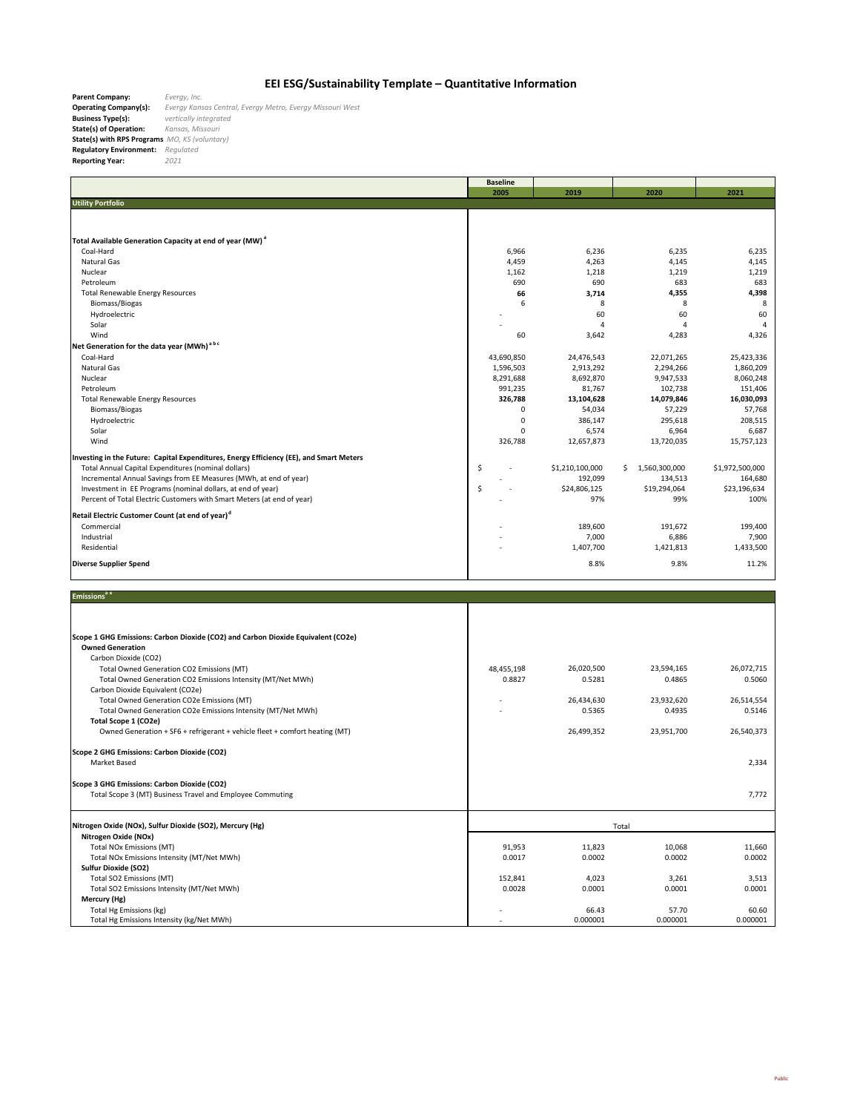## **EEI ESG/Sustainability Template – Quantitative Information**

**Parent Company:<br>Operating Company(s): Operating Company(s):** *Evergy Kansas Central, Evergy Metro, Evergy Missouri West* **Business Type(s):** vertically integrated<br>**State(s) of Operation:** Kansas, Missouri<br>**State(s) with RPS Programs** MO, KS (voluntary)<br>**Regulatory Environment:** Regulated<br>**Reporting Year:** 2021

|                                                                                         | <b>Baseline</b> |                 |                     |                 |
|-----------------------------------------------------------------------------------------|-----------------|-----------------|---------------------|-----------------|
|                                                                                         | 2005            | 2019            | 2020                | 2021            |
| <b>Utility Portfolio</b>                                                                |                 |                 |                     |                 |
|                                                                                         |                 |                 |                     |                 |
|                                                                                         |                 |                 |                     |                 |
| Total Available Generation Capacity at end of year (MW) <sup>a</sup>                    |                 |                 |                     |                 |
| Coal-Hard                                                                               | 6,966           | 6,236           | 6,235               | 6,235           |
| <b>Natural Gas</b>                                                                      | 4,459           | 4,263           | 4,145               | 4,145           |
| Nuclear                                                                                 | 1,162           | 1,218           | 1,219               | 1,219           |
| Petroleum                                                                               | 690             | 690             | 683                 | 683             |
| <b>Total Renewable Energy Resources</b>                                                 | 66              | 3,714           | 4,355               | 4,398           |
| Biomass/Biogas                                                                          | 6               | 8               | 8                   | 8               |
| Hydroelectric                                                                           |                 | 60              | 60                  | 60              |
| Solar                                                                                   |                 | 4               | $\overline{4}$      | 4               |
| Wind                                                                                    | 60              | 3,642           | 4,283               | 4,326           |
| Net Generation for the data year (MWh) <sup>abc</sup>                                   |                 |                 |                     |                 |
| Coal-Hard                                                                               | 43,690,850      | 24,476,543      | 22,071,265          | 25,423,336      |
| <b>Natural Gas</b>                                                                      | 1,596,503       | 2,913,292       | 2,294,266           | 1,860,209       |
| Nuclear                                                                                 | 8,291,688       | 8,692,870       | 9,947,533           | 8,060,248       |
| Petroleum                                                                               | 991,235         | 81,767          | 102,738             | 151,406         |
| <b>Total Renewable Energy Resources</b>                                                 | 326,788         | 13,104,628      | 14,079,846          | 16,030,093      |
| Biomass/Biogas                                                                          | $\mathbf 0$     | 54,034          | 57,229              | 57,768          |
| Hydroelectric                                                                           | $\mathbf 0$     | 386.147         | 295,618             | 208.515         |
| Solar                                                                                   | $\Omega$        | 6,574           | 6,964               | 6,687           |
| Wind                                                                                    | 326,788         | 12,657,873      | 13,720,035          | 15,757,123      |
|                                                                                         |                 |                 |                     |                 |
| Investing in the Future: Capital Expenditures, Energy Efficiency (EE), and Smart Meters |                 |                 |                     |                 |
| Total Annual Capital Expenditures (nominal dollars)                                     | \$              | \$1,210,100,000 | 1,560,300,000<br>Ś. | \$1,972,500,000 |
| Incremental Annual Savings from EE Measures (MWh, at end of year)                       |                 | 192,099         | 134,513             | 164,680         |
| Investment in EE Programs (nominal dollars, at end of year)                             | \$              | \$24,806,125    | \$19,294,064        | \$23,196,634    |
| Percent of Total Electric Customers with Smart Meters (at end of year)                  |                 | 97%             | 99%                 | 100%            |
| Retail Electric Customer Count (at end of year) <sup>d</sup>                            |                 |                 |                     |                 |
| Commercial                                                                              |                 | 189,600         | 191,672             | 199,400         |
| Industrial                                                                              |                 | 7,000           | 6,886               | 7,900           |
| Residential                                                                             |                 | 1,407,700       | 1,421,813           | 1,433,500       |
|                                                                                         |                 |                 |                     |                 |
| <b>Diverse Supplier Spend</b>                                                           |                 | 8.8%            | 9.8%                | 11.2%           |
|                                                                                         |                 |                 |                     |                 |
|                                                                                         |                 |                 |                     |                 |

| Emissions <sup>a e</sup>                                                         |            |            |            |            |
|----------------------------------------------------------------------------------|------------|------------|------------|------------|
|                                                                                  |            |            |            |            |
|                                                                                  |            |            |            |            |
| Scope 1 GHG Emissions: Carbon Dioxide (CO2) and Carbon Dioxide Equivalent (CO2e) |            |            |            |            |
| <b>Owned Generation</b>                                                          |            |            |            |            |
| Carbon Dioxide (CO2)                                                             |            |            |            |            |
| Total Owned Generation CO2 Emissions (MT)                                        | 48,455,198 | 26,020,500 | 23,594,165 | 26,072,715 |
| Total Owned Generation CO2 Emissions Intensity (MT/Net MWh)                      | 0.8827     | 0.5281     | 0.4865     | 0.5060     |
| Carbon Dioxide Equivalent (CO2e)                                                 |            |            |            |            |
| Total Owned Generation CO2e Emissions (MT)                                       |            | 26,434,630 | 23,932,620 | 26,514,554 |
| Total Owned Generation CO2e Emissions Intensity (MT/Net MWh)                     |            | 0.5365     | 0.4935     | 0.5146     |
| Total Scope 1 (CO2e)                                                             |            |            |            |            |
| Owned Generation + SF6 + refrigerant + vehicle fleet + comfort heating (MT)      |            | 26,499,352 | 23,951,700 | 26,540,373 |
| Scope 2 GHG Emissions: Carbon Dioxide (CO2)                                      |            |            |            |            |
| Market Based                                                                     |            |            |            | 2,334      |
| Scope 3 GHG Emissions: Carbon Dioxide (CO2)                                      |            |            |            |            |
| Total Scope 3 (MT) Business Travel and Employee Commuting                        |            |            |            | 7,772      |
|                                                                                  |            |            |            |            |
| Nitrogen Oxide (NOx), Sulfur Dioxide (SO2), Mercury (Hg)                         | Total      |            |            |            |
| Nitrogen Oxide (NOx)                                                             |            |            |            |            |
| <b>Total NOx Emissions (MT)</b>                                                  | 91,953     | 11,823     | 10,068     | 11,660     |
| Total NOx Emissions Intensity (MT/Net MWh)                                       | 0.0017     | 0.0002     | 0.0002     | 0.0002     |
| <b>Sulfur Dioxide (SO2)</b>                                                      |            |            |            |            |
| Total SO2 Emissions (MT)                                                         | 152,841    | 4,023      | 3,261      | 3,513      |
| Total SO2 Emissions Intensity (MT/Net MWh)                                       | 0.0028     | 0.0001     | 0.0001     | 0.0001     |
| Mercury (Hg)                                                                     |            |            |            |            |
| Total Hg Emissions (kg)                                                          |            | 66.43      | 57.70      | 60.60      |
| Total Hg Emissions Intensity (kg/Net MWh)                                        |            | 0.000001   | 0.000001   | 0.000001   |